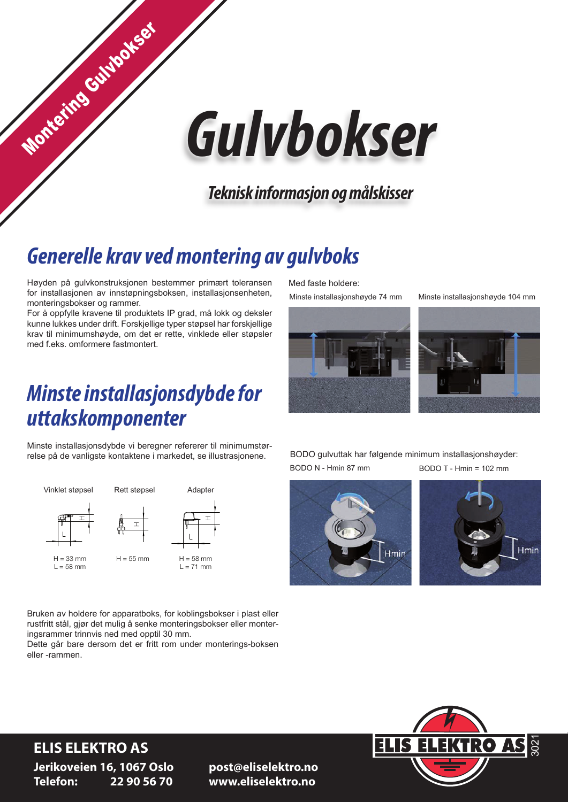### Gulvbokser lower the installed device cups of the installed device cups of the installer order of the device cups of the device carriers by up to 30 mm. This only applies if the necessary tolerance below the installation unit is provided In order to meet the basic requirements according to protection type IP  $20085$  $m_{\rm e}$  in working condition. The required minimum system installation hereby the use of angled for the use of angled for the use of angled for the use of angled for the use of angled for the use of angled for the use of or straight connectors of data, respectively power technology.

 $\mathcal{F}_{\mathcal{A}}$  the height of the floor construction primarily determines the tolerance for the installation primarily determines the tolerance for the installation of the installation of the installation of the installati

**Teknisk informasjon og målskisser** The previously mentioned cable duct height should be  $\mathcal{L}_{\text{min}}$  minimum installation depths we calculate  $\mathcal{L}_{\text{min}}$  $\epsilon$  , at least 185 mm. If straight 185 mm. composition are used the unit can not be local in due for the unit can not be local in due for the unit of the

## Generelle krav ved montering av gulvboks angled connector adapter CEE socket with angled connector CEE social Requirements of the celebration of the ce

Casing depth device cup including installation device

Høyden på gulvkonstruksjonen bestemmer primært toleransen of Med faste holdere:<br>f for installasjonen av innstøpningsboksen, installasjonsenheten, monteringsbokser og rammer.

Montering Guidoused

installation unit, device cup and installation equipment.

Technical information

General Requirements

Technical specifications

For å oppfylle kravene til produktets IP grad, må lokk og deksler In order oppryne klaverie in produktets in grad, ma lokk og deksier<br>In order to meet the basic requirements according to protection the basic requirements and DIN EN 50085, the c krav til minimumshøyde, om det er rette, vinklede eller støpsler installation. The use of angled for the use of angled minimum system installation height is derived for the use of angled for the use of angled for the use o med f.eks. omformere fastmontert.  $\sim$  straight connection of data, respectively.  $\sim$ 

#### **Minste installasjonsdybde for** uttakskomponenter winste installasionsavode for deviation by up to 30 mm. The 30 mm. This oriented is the 30 mm. This only applied in the 30 mm. This only applied in the 30 mm. The 30 mm. The 30 mm method is a set of 30 mm. The 30 mm method is a set of 30 mm. The 30 mm Technical specifications misie installasjonsa joue for ttakckomnonontor we calculated refer minimum size of the common market connectors for power

Minste installasjonsdybde vi beregner refererer til minimumstørrelse på de vanligste kontaktene i markedet, se illustrasjonene.



Bruken av holdere for apparatboks, for koblingsbokser i plast eller rustfritt stål, gjør det mulig å senke monteringsbokser eller monter-<br>... ingsrammer trinnvis ned med opptil 30 mm.

Dette går bare dersom det er fritt rom under monterings-boksen eller -rammen.  $n_{\text{e}}$ necessary tolerance below the installation unit is provided unit is provided unit is provided unit is provided unit is provided unit is provided unit is provided unit is provided unit is provided unit is provided

Med faste holdere:

 $m_{\rm s}$  mum installation  $24$  mm maximum installation height 104 mm maximum installation height 104 mm maximum installation height 104 mm maximum installation height 104 mm maximum installation height 104 mm maximum inst Minste installasjonshøyde 74 mm Minste installasjonshøyde 104 mm





BODO gulvuttak har følgende minimum installasjonshøyder: BODO N | Hmin = 87 mm BODO T | Hmin = 102 mm BODO N - Hmin 87 mm BODO T - Hmin = 102 mm







### installed. In the tolerance is reduced by 28 tolerance is reduced by 28 tolerance is reduced by 28 to 48mm height, depending on the applied duct height. **ELIS ELEKTRO AS Jerikoveien 16, 1067 Oslo Telefon: 22 90 56 70**

**post@eliselektro.no www.eliselektro.no**